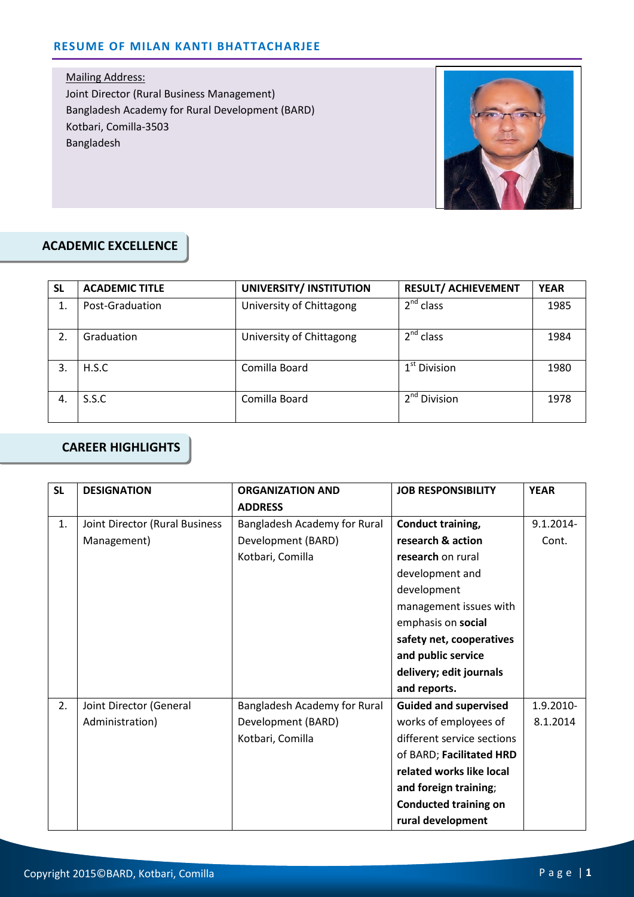

#### **ACADEMIC EXCELLENCE** Email:

| <b>SL</b> | <b>ACADEMIC TITLE</b> | UNIVERSITY/ INSTITUTION  | <b>RESULT/ ACHIEVEMENT</b> | <b>YEAR</b> |
|-----------|-----------------------|--------------------------|----------------------------|-------------|
| 1.        | Post-Graduation       | University of Chittagong | $2nd$ class                | 1985        |
| 2.        | Graduation            | University of Chittagong | $2nd$ class                | 1984        |
| 3.        | H.S.C                 | Comilla Board            | $1st$ Division             | 1980        |
| 4.        | S.S.C                 | Comilla Board            | 2 <sup>nd</sup> Division   | 1978        |

## **CAREER HIGHLIGHTS**

| <b>SL</b> | <b>DESIGNATION</b>             | <b>ORGANIZATION AND</b>      | <b>JOB RESPONSIBILITY</b>    | <b>YEAR</b>  |
|-----------|--------------------------------|------------------------------|------------------------------|--------------|
|           |                                | <b>ADDRESS</b>               |                              |              |
| 1.        | Joint Director (Rural Business | Bangladesh Academy for Rural | Conduct training,            | $9.1.2014 -$ |
|           | Management)                    | Development (BARD)           | research & action            | Cont.        |
|           |                                | Kotbari, Comilla             | research on rural            |              |
|           |                                |                              | development and              |              |
|           |                                |                              | development                  |              |
|           |                                |                              | management issues with       |              |
|           |                                |                              | emphasis on social           |              |
|           |                                |                              | safety net, cooperatives     |              |
|           |                                |                              | and public service           |              |
|           |                                |                              | delivery; edit journals      |              |
|           |                                |                              | and reports.                 |              |
| 2.        | Joint Director (General        | Bangladesh Academy for Rural | <b>Guided and supervised</b> | 1.9.2010-    |
|           | Administration)                | Development (BARD)           | works of employees of        | 8.1.2014     |
|           |                                | Kotbari, Comilla             | different service sections   |              |
|           |                                |                              | of BARD; Facilitated HRD     |              |
|           |                                |                              | related works like local     |              |
|           |                                |                              | and foreign training;        |              |
|           |                                |                              | <b>Conducted training on</b> |              |
|           |                                |                              | rural development            |              |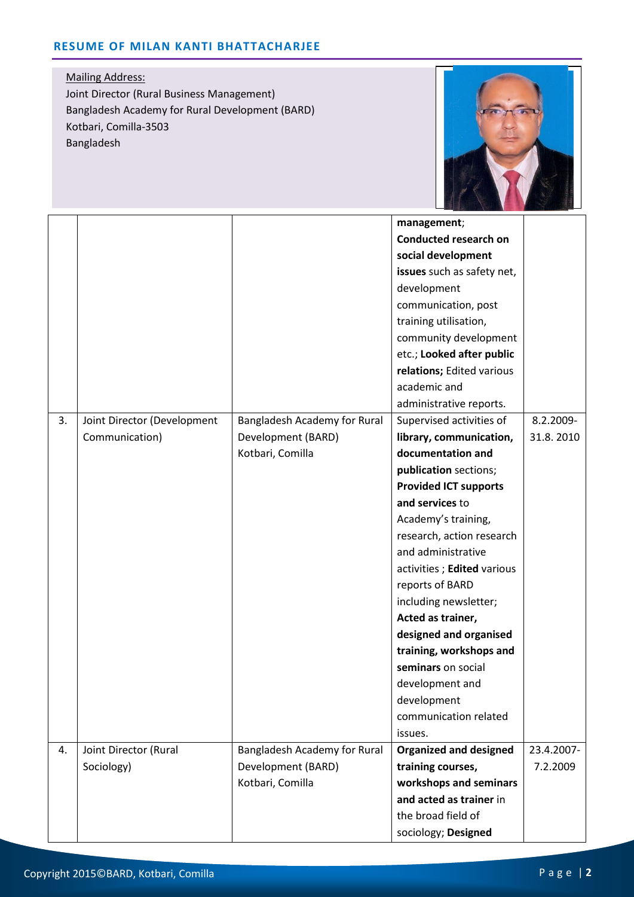

|    |                             |                              | management;                   |            |
|----|-----------------------------|------------------------------|-------------------------------|------------|
|    |                             |                              | <b>Conducted research on</b>  |            |
|    |                             |                              | social development            |            |
|    |                             |                              | issues such as safety net,    |            |
|    |                             |                              | development                   |            |
|    |                             |                              | communication, post           |            |
|    |                             |                              | training utilisation,         |            |
|    |                             |                              | community development         |            |
|    |                             |                              | etc.; Looked after public     |            |
|    |                             |                              | relations; Edited various     |            |
|    |                             |                              | academic and                  |            |
|    |                             |                              | administrative reports.       |            |
| 3. | Joint Director (Development | Bangladesh Academy for Rural | Supervised activities of      | 8.2.2009-  |
|    | Communication)              | Development (BARD)           | library, communication,       | 31.8.2010  |
|    |                             | Kotbari, Comilla             | documentation and             |            |
|    |                             |                              | publication sections;         |            |
|    |                             |                              | <b>Provided ICT supports</b>  |            |
|    |                             |                              | and services to               |            |
|    |                             |                              | Academy's training,           |            |
|    |                             |                              | research, action research     |            |
|    |                             |                              | and administrative            |            |
|    |                             |                              | activities; Edited various    |            |
|    |                             |                              | reports of BARD               |            |
|    |                             |                              | including newsletter;         |            |
|    |                             |                              | Acted as trainer,             |            |
|    |                             |                              | designed and organised        |            |
|    |                             |                              | training, workshops and       |            |
|    |                             |                              | seminars on social            |            |
|    |                             |                              | development and               |            |
|    |                             |                              | development                   |            |
|    |                             |                              | communication related         |            |
|    |                             |                              | issues.                       |            |
| 4. | Joint Director (Rural       | Bangladesh Academy for Rural | <b>Organized and designed</b> | 23.4.2007- |
|    | Sociology)                  | Development (BARD)           | training courses,             | 7.2.2009   |
|    |                             | Kotbari, Comilla             | workshops and seminars        |            |
|    |                             |                              | and acted as trainer in       |            |
|    |                             |                              | the broad field of            |            |
|    |                             |                              | sociology; Designed           |            |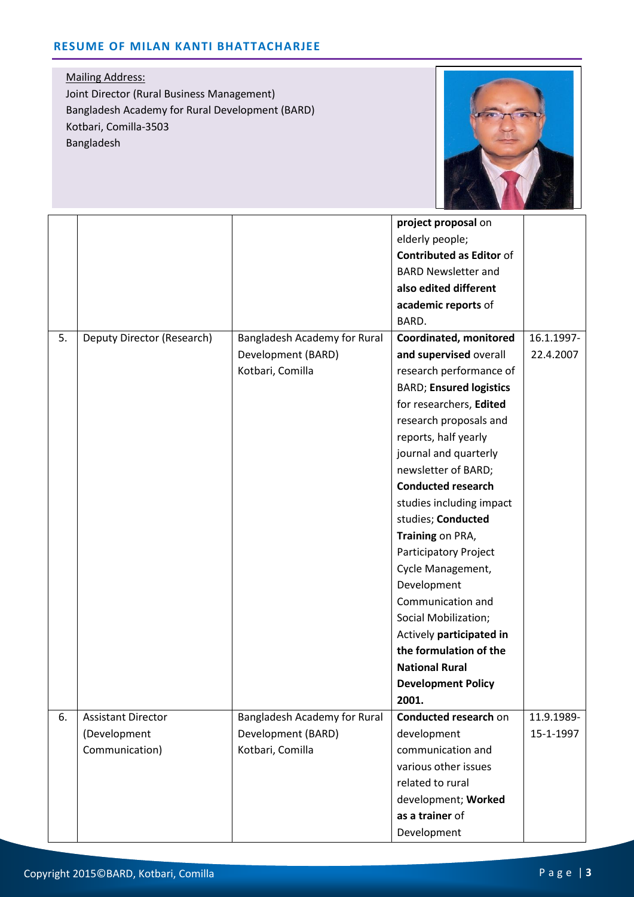

|    |                            |                              | project proposal on             |            |
|----|----------------------------|------------------------------|---------------------------------|------------|
|    |                            |                              | elderly people;                 |            |
|    |                            |                              | <b>Contributed as Editor of</b> |            |
|    |                            |                              | <b>BARD Newsletter and</b>      |            |
|    |                            |                              | also edited different           |            |
|    |                            |                              | academic reports of             |            |
|    |                            |                              | BARD.                           |            |
| 5. | Deputy Director (Research) | Bangladesh Academy for Rural | Coordinated, monitored          | 16.1.1997- |
|    |                            | Development (BARD)           | and supervised overall          | 22.4.2007  |
|    |                            | Kotbari, Comilla             | research performance of         |            |
|    |                            |                              | <b>BARD; Ensured logistics</b>  |            |
|    |                            |                              | for researchers, Edited         |            |
|    |                            |                              | research proposals and          |            |
|    |                            |                              | reports, half yearly            |            |
|    |                            |                              | journal and quarterly           |            |
|    |                            |                              | newsletter of BARD;             |            |
|    |                            |                              | <b>Conducted research</b>       |            |
|    |                            |                              | studies including impact        |            |
|    |                            |                              | studies; Conducted              |            |
|    |                            |                              | Training on PRA,                |            |
|    |                            |                              | <b>Participatory Project</b>    |            |
|    |                            |                              | Cycle Management,               |            |
|    |                            |                              | Development                     |            |
|    |                            |                              | Communication and               |            |
|    |                            |                              | Social Mobilization;            |            |
|    |                            |                              | Actively participated in        |            |
|    |                            |                              | the formulation of the          |            |
|    |                            |                              | <b>National Rural</b>           |            |
|    |                            |                              | <b>Development Policy</b>       |            |
|    |                            |                              | 2001.                           |            |
| 6. | <b>Assistant Director</b>  | Bangladesh Academy for Rural | Conducted research on           | 11.9.1989- |
|    | (Development               | Development (BARD)           | development                     | 15-1-1997  |
|    | Communication)             | Kotbari, Comilla             | communication and               |            |
|    |                            |                              | various other issues            |            |
|    |                            |                              | related to rural                |            |
|    |                            |                              | development; Worked             |            |
|    |                            |                              | as a trainer of                 |            |
|    |                            |                              | Development                     |            |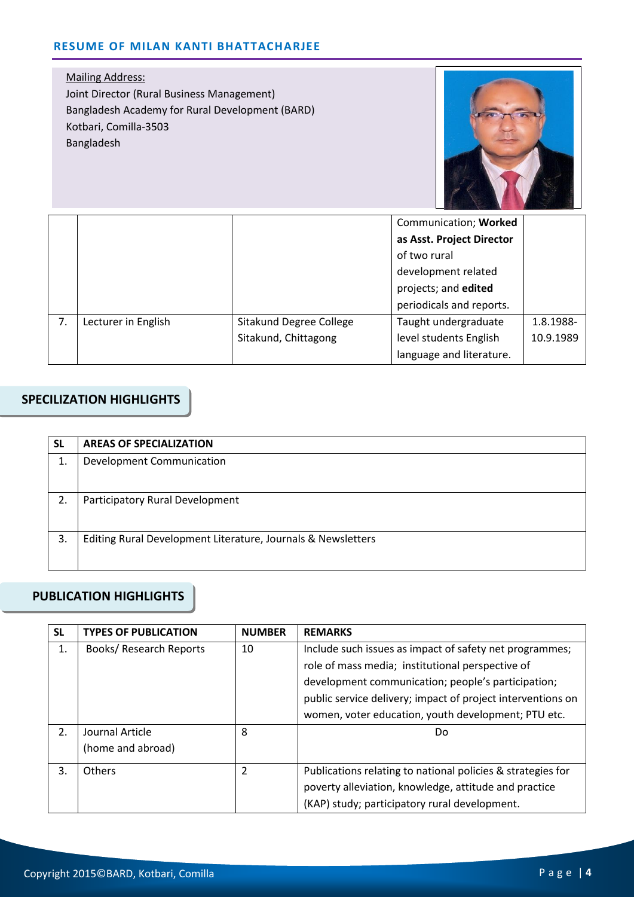

|    |                     |                         | Communication; Worked     |           |
|----|---------------------|-------------------------|---------------------------|-----------|
|    |                     |                         | as Asst. Project Director |           |
|    |                     |                         | of two rural              |           |
|    |                     |                         | development related       |           |
|    |                     |                         | projects; and edited      |           |
|    |                     |                         | periodicals and reports.  |           |
| 7. | Lecturer in English | Sitakund Degree College | Taught undergraduate      | 1.8.1988- |
|    |                     | Sitakund, Chittagong    | level students English    | 10.9.1989 |
|    |                     |                         | language and literature.  |           |

#### **SPECILIZATION HIGHLIGHTS**

| SL | <b>AREAS OF SPECIALIZATION</b>                               |
|----|--------------------------------------------------------------|
| 1. | <b>Development Communication</b>                             |
| 2. | Participatory Rural Development                              |
| 3. | Editing Rural Development Literature, Journals & Newsletters |

#### **PUBLICATION HIGHLIGHTS**

| <b>SL</b>        | <b>TYPES OF PUBLICATION</b>          | <b>NUMBER</b> | <b>REMARKS</b>                                                                                                                                                                                                                                                                          |
|------------------|--------------------------------------|---------------|-----------------------------------------------------------------------------------------------------------------------------------------------------------------------------------------------------------------------------------------------------------------------------------------|
| 1.               | Books/ Research Reports              | 10            | Include such issues as impact of safety net programmes;<br>role of mass media; institutional perspective of<br>development communication; people's participation;<br>public service delivery; impact of project interventions on<br>women, voter education, youth development; PTU etc. |
| $\overline{2}$ . | Journal Article<br>(home and abroad) | 8             | Do                                                                                                                                                                                                                                                                                      |
| 3.               | Others                               | 2             | Publications relating to national policies & strategies for<br>poverty alleviation, knowledge, attitude and practice<br>(KAP) study; participatory rural development.                                                                                                                   |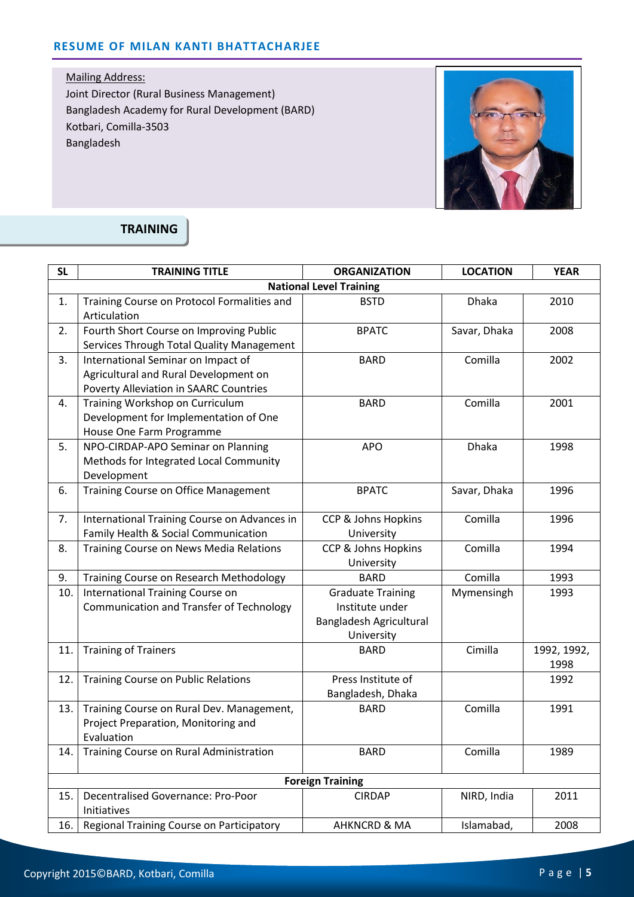

# **TRAINING**

Cell:

| <b>SL</b> | <b>TRAINING TITLE</b>                                                                                                 | <b>ORGANIZATION</b>                                                                  | <b>LOCATION</b> | <b>YEAR</b>         |
|-----------|-----------------------------------------------------------------------------------------------------------------------|--------------------------------------------------------------------------------------|-----------------|---------------------|
|           |                                                                                                                       | <b>National Level Training</b>                                                       |                 |                     |
| 1.        | Training Course on Protocol Formalities and<br>Articulation                                                           | <b>BSTD</b>                                                                          | <b>Dhaka</b>    | 2010                |
| 2.        | Fourth Short Course on Improving Public<br>Services Through Total Quality Management                                  | <b>BPATC</b>                                                                         | Savar, Dhaka    | 2008                |
| 3.        | International Seminar on Impact of<br>Agricultural and Rural Development on<br>Poverty Alleviation in SAARC Countries | <b>BARD</b>                                                                          | Comilla         | 2002                |
| 4.        | Training Workshop on Curriculum<br>Development for Implementation of One<br>House One Farm Programme                  | <b>BARD</b>                                                                          | Comilla         | 2001                |
| 5.        | NPO-CIRDAP-APO Seminar on Planning<br>Methods for Integrated Local Community<br>Development                           | <b>APO</b>                                                                           | Dhaka           | 1998                |
| 6.        | Training Course on Office Management                                                                                  | <b>BPATC</b>                                                                         | Savar, Dhaka    | 1996                |
| 7.        | International Training Course on Advances in<br>Family Health & Social Communication                                  | CCP & Johns Hopkins<br>University                                                    | Comilla         | 1996                |
| 8.        | Training Course on News Media Relations                                                                               | CCP & Johns Hopkins<br>University                                                    | Comilla         | 1994                |
| 9.        | Training Course on Research Methodology                                                                               | <b>BARD</b>                                                                          | Comilla         | 1993                |
| 10.       | International Training Course on<br>Communication and Transfer of Technology                                          | <b>Graduate Training</b><br>Institute under<br>Bangladesh Agricultural<br>University | Mymensingh      | 1993                |
| 11.       | <b>Training of Trainers</b>                                                                                           | <b>BARD</b>                                                                          | Cimilla         | 1992, 1992,<br>1998 |
| 12.       | Training Course on Public Relations                                                                                   | Press Institute of<br>Bangladesh, Dhaka                                              |                 | 1992                |
| 13.       | Training Course on Rural Dev. Management,<br>Project Preparation, Monitoring and<br>Evaluation                        | <b>BARD</b>                                                                          | Comilla         | 1991                |
| 14.       | Training Course on Rural Administration                                                                               | <b>BARD</b>                                                                          | Comilla         | 1989                |
|           |                                                                                                                       | <b>Foreign Training</b>                                                              |                 |                     |
| 15.       | Decentralised Governance: Pro-Poor<br>Initiatives                                                                     | <b>CIRDAP</b>                                                                        | NIRD, India     | 2011                |
| 16.       | Regional Training Course on Participatory                                                                             | <b>AHKNCRD &amp; MA</b>                                                              | Islamabad,      | 2008                |